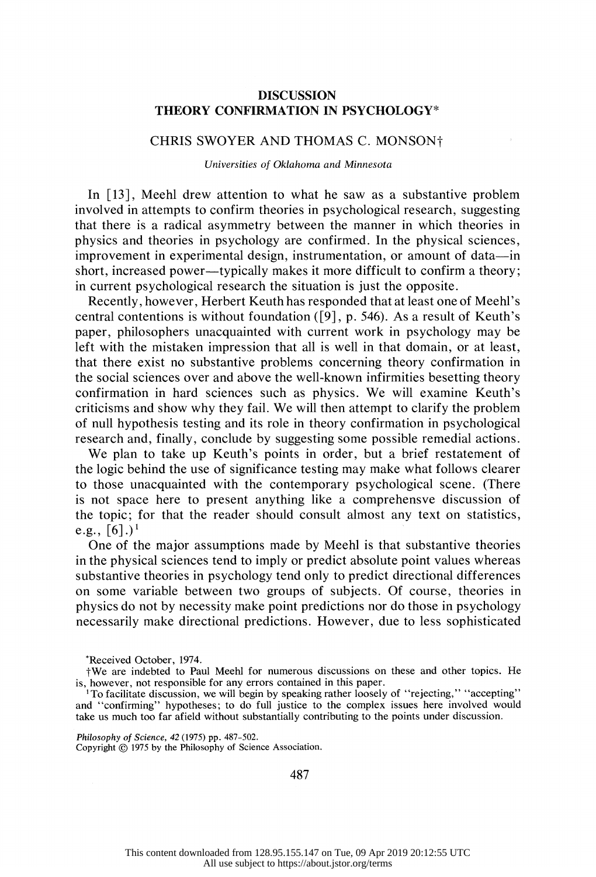## DISCUSSION THEORY CONFIRMATION IN PSYCHOLOGY\*

## CHRIS SWOYER AND THOMAS C. MONSON<sup>†</sup>

## Universities of Oklahoma and Minnesota

 In [13], Meehl drew attention to what he saw as a substantive problem involved in attempts to confirm theories in psychological research, suggesting that there is a radical asymmetry between the manner in which theories in physics and theories in psychology are confirmed. In the physical sciences, improvement in experimental design, instrumentation, or amount of data—in short, increased power—typically makes it more difficult to confirm a theory; in current psychological research the situation is just the opposite.

 Recently, however, Herbert Keuth has responded that at least one of Meehl's central contentions is without foundation ([9], p. 546). As a result of Keuth's paper, philosophers unacquainted with current work in psychology may be left with the mistaken impression that all is well in that domain, or at least, that there exist no substantive problems concerning theory confirmation in the social sciences over and above the well-known infirmities besetting theory confirmation in hard sciences such as physics. We will examine Keuth's criticisms and show why they fail. We will then attempt to clarify the problem of null hypothesis testing and its role in theory confirmation in psychological research and, finally, conclude by suggesting some possible remedial actions.

 We plan to take up Keuth's points in order, but a brief restatement of the logic behind the use of significance testing may make what follows clearer to those unacquainted with the contemporary psychological scene. (There is not space here to present anything like a comprehensve discussion of the topic; for that the reader should consult almost any text on statistics, e.g.,  $[6]$ .)<sup>1</sup>

 One of the major assumptions made by Meehl is that substantive theories in the physical sciences tend to imply or predict absolute point values whereas substantive theories in psychology tend only to predict directional differences on some variable between two groups of subjects. Of course, theories in physics do not by necessity make point predictions nor do those in psychology necessarily make directional predictions. However, due to less sophisticated

Philosophy of Science, 42 (1975) pp. 487-502.

Copyright  $\odot$  1975 by the Philosophy of Science Association.

 <sup>\*</sup>Received October, 1974.

tWe are indebted to Paul Meehl for numerous discussions on these and other topics. He is, however, not responsible for any errors contained in this paper.

<sup>&</sup>lt;sup>1</sup>To facilitate discussion, we will begin by speaking rather loosely of "rejecting," "accepting" and "confirming" hypotheses; to do full justice to the complex issues here involved would take us much too far afield without substantially contributing to the points under discussion.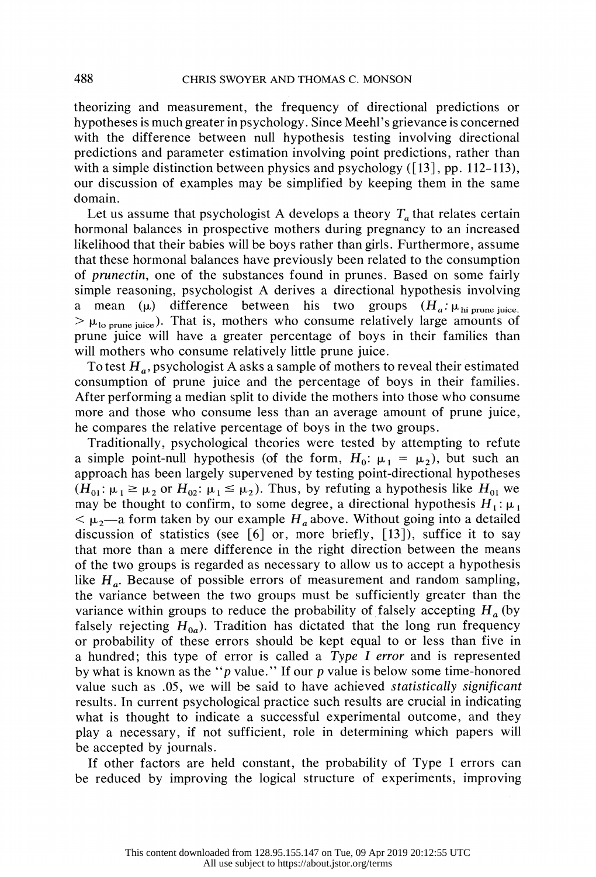theorizing and measurement, the frequency of directional predictions or hypotheses is much greater in psychology. Since Meehl's grievance is concerned with the difference between null hypothesis testing involving directional predictions and parameter estimation involving point predictions, rather than with a simple distinction between physics and psychology ( $\lceil 13 \rceil$ , pp. 112-113), our discussion of examples may be simplified by keeping them in the same domain.

Let us assume that psychologist A develops a theory  $T_a$  that relates certain hormonal balances in prospective mothers during pregnancy to an increased likelihood that their babies will be boys rather than girls. Furthermore, assume that these hormonal balances have previously been related to the consumption of prunectin, one of the substances found in prunes. Based on some fairly simple reasoning, psychologist A derives a directional hypothesis involving a mean ( $\mu$ ) difference between his two groups  $(H_a: \mu_{hi \text{ prime juice}})$ .  $> \mu_{\text{lo prune juice}}$ ). That is, mothers who consume relatively large amounts of prune juice will have a greater percentage of boys in their families than will mothers who consume relatively little prune juice.

To test  $H_a$ , psychologist A asks a sample of mothers to reveal their estimated consumption of prune juice and the percentage of boys in their families. After performing a median split to divide the mothers into those who consume more and those who consume less than an average amount of prune juice, he compares the relative percentage of boys in the two groups.

 Traditionally, psychological theories were tested by attempting to refute a simple point-null hypothesis (of the form,  $H_0$ :  $\mu_1 = \mu_2$ ), but such an approach has been largely supervened by testing point-directional hypotheses  $(H_{01}: \mu_1 \geq \mu_2 \text{ or } H_{02}: \mu_1 \leq \mu_2)$ . Thus, by refuting a hypothesis like  $H_{01}$  we may be thought to confirm, to some degree, a directional hypothesis  $H_1: \mu_1$  $< \mu_2$ —a form taken by our example  $H_a$  above. Without going into a detailed discussion of statistics (see [6] or, more briefly, [13]), suffice it to say that more than a mere difference in the right direction between the means of the two groups is regarded as necessary to allow us to accept a hypothesis like  $H_a$ . Because of possible errors of measurement and random sampling, the variance between the two groups must be sufficiently greater than the variance within groups to reduce the probability of falsely accepting  $H_a$  (by falsely rejecting  $H_{0a}$ ). Tradition has dictated that the long run frequency or probability of these errors should be kept equal to or less than five in a hundred; this type of error is called a *Type I error* and is represented by what is known as the " $p$  value." If our  $p$  value is below some time-honored value such as .05, we will be said to have achieved statistically significant results. In current psychological practice such results are crucial in indicating what is thought to indicate a successful experimental outcome, and they play a necessary, if not sufficient, role in determining which papers will be accepted by journals.

 If other factors are held constant, the probability of Type I errors can be reduced by improving the logical structure of experiments, improving

488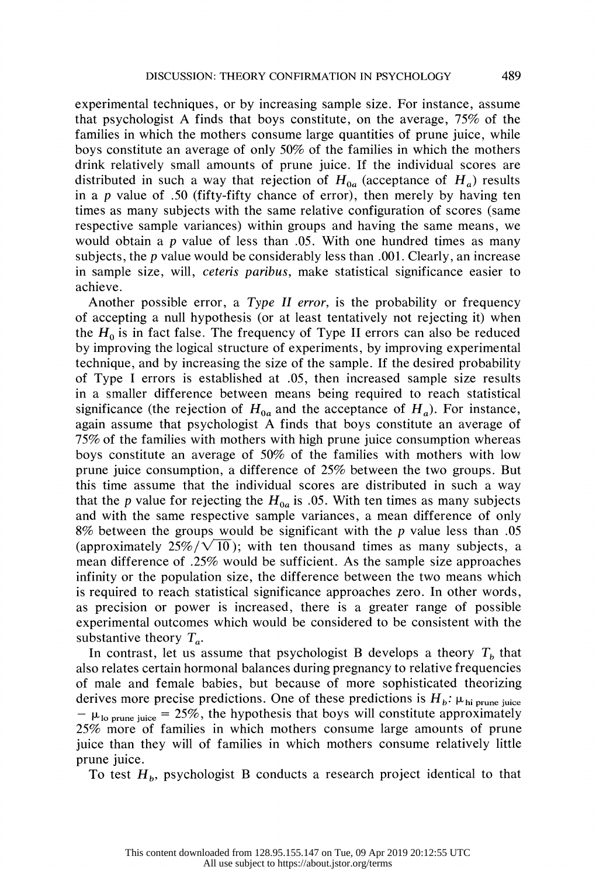experimental techniques, or by increasing sample size. For instance, assume that psychologist A finds that boys constitute, on the average, 75% of the families in which the mothers consume large quantities of prune juice, while boys constitute an average of only 50% of the families in which the mothers drink relatively small amounts of prune juice. If the individual scores are distributed in such a way that rejection of  $H_{0a}$  (acceptance of  $H_a$ ) results in a p value of .50 (fifty-fifty chance of error), then merely by having ten times as many subjects with the same relative configuration of scores (same respective sample variances) within groups and having the same means, we would obtain a p value of less than .05. With one hundred times as many subjects, the p value would be considerably less than .001. Clearly, an increase in sample size, will, ceteris paribus, make statistical significance easier to achieve.

 Another possible error, a Type II error, is the probability or frequency of accepting a null hypothesis (or at least tentatively not rejecting it) when the  $H_0$  is in fact false. The frequency of Type II errors can also be reduced by improving the logical structure of experiments, by improving experimental technique, and by increasing the size of the sample. If the desired probability of Type I errors is established at .05, then increased sample size results in a smaller difference between means being required to reach statistical significance (the rejection of  $H_{0a}$  and the acceptance of  $H_a$ ). For instance, again assume that psychologist A finds that boys constitute an average of 75% of the families with mothers with high prune juice consumption whereas boys constitute an average of 50% of the families with mothers with low prune juice consumption, a difference of 25% between the two groups. But this time assume that the individual scores are distributed in such a way that the p value for rejecting the  $H_{0a}$  is .05. With ten times as many subjects and with the same respective sample variances, a mean difference of only 8% between the groups would be significant with the  $p$  value less than .05 (approximately  $25\%/ \sqrt{10}$ ); with ten thousand times as many subjects, a mean difference of .25% would be sufficient. As the sample size approaches infinity or the population size, the difference between the two means which is required to reach statistical significance approaches zero. In other words, as precision or power is increased, there is a greater range of possible experimental outcomes which would be considered to be consistent with the substantive theory  $T_a$ .

In contrast, let us assume that psychologist B develops a theory  $T_b$  that also relates certain hormonal balances during pregnancy to relative frequencies of male and female babies, but because of more sophisticated theorizing derives more precise predictions. One of these predictions is  $H_b: \mu_{\text{hi prune juice}}$  $\mu_{\text{lo prune juice}}$  = 25%, the hypothesis that boys will constitute approximately 25% more of families in which mothers consume large amounts of prune juice than they will of families in which mothers consume relatively little prune juice.

To test  $H_b$ , psychologist B conducts a research project identical to that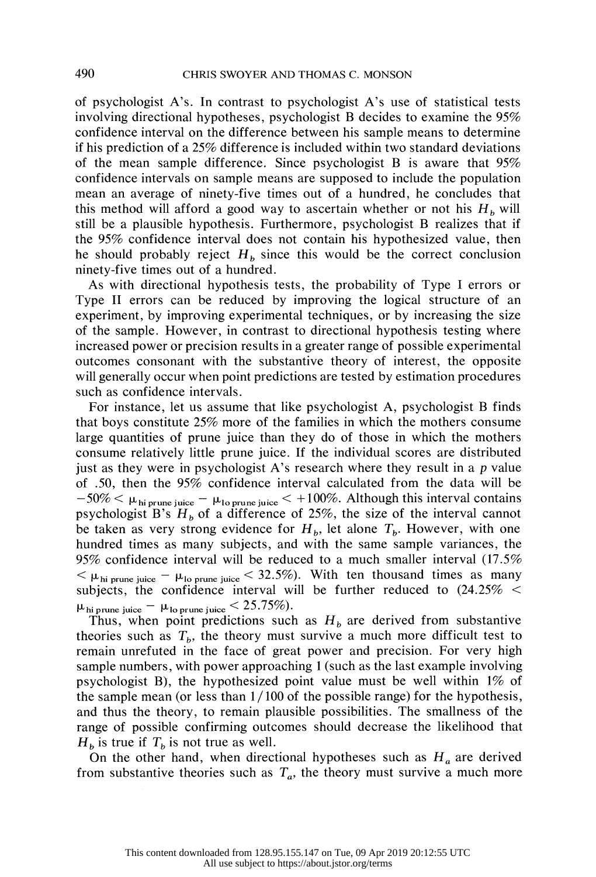of psychologist A's. In contrast to psychologist A's use of statistical tests involving directional hypotheses, psychologist B decides to examine the 95% confidence interval on the difference between his sample means to determine if his prediction of a 25% difference is included within two standard deviations of the mean sample difference. Since psychologist B is aware that 95% confidence intervals on sample means are supposed to include the population mean an average of ninety-five times out of a hundred, he concludes that this method will afford a good way to ascertain whether or not his  $H<sub>b</sub>$  will still be a plausible hypothesis. Furthermore, psychologist B realizes that if the 95% confidence interval does not contain his hypothesized value, then he should probably reject  $H_b$  since this would be the correct conclusion ninety-five times out of a hundred.

 As with directional hypothesis tests, the probability of Type I errors or Type II errors can be reduced by improving the logical structure of an experiment, by improving experimental techniques, or by increasing the size of the sample. However, in contrast to directional hypothesis testing where increased power or precision results in a greater range of possible experimental outcomes consonant with the substantive theory of interest, the opposite will generally occur when point predictions are tested by estimation procedures such as confidence intervals.

 For instance, let us assume that like psychologist A, psychologist B finds that boys constitute 25% more of the families in which the mothers consume large quantities of prune juice than they do of those in which the mothers consume relatively little prune juice. If the individual scores are distributed just as they were in psychologist A's research where they result in a p value of .50, then the 95% confidence interval calculated from the data will be  $-50\% < \mu_{hi\,prime}$  prune juice  $- \mu_{lo\,prime}$  prune juice  $< +100\%$ . Although this interval contains psychologist B's  $H_b$  of a difference of 25%, the size of the interval cannot be taken as very strong evidence for  $H_b$ , let alone  $T_b$ . However, with one hundred times as many subjects, and with the same sample variances, the 95% confidence interval will be reduced to a much smaller interval (17.5%  $\sim \mu_{\text{hi}}$  prune juice  $\mu_{\text{lo}}$  prune juice  $\sim$  32.5%). With ten thousand times as many subjects, the confidence interval will be further reduced to  $(24.25\% <$  $\mu$  hi prune juice  $-\mu$  lo prune juice  $<$  25.75%).

Thus, when point predictions such as  $H_b$  are derived from substantive theories such as  $T<sub>b</sub>$ , the theory must survive a much more difficult test to remain unrefuted in the face of great power and precision. For very high sample numbers, with power approaching 1 (such as the last example involving psychologist B), the hypothesized point value must be well within 1% of the sample mean (or less than  $1/100$  of the possible range) for the hypothesis, and thus the theory, to remain plausible possibilities. The smallness of the range of possible confirming outcomes should decrease the likelihood that  $H_b$  is true if  $T_b$  is not true as well.

On the other hand, when directional hypotheses such as  $H_a$  are derived from substantive theories such as  $T_a$ , the theory must survive a much more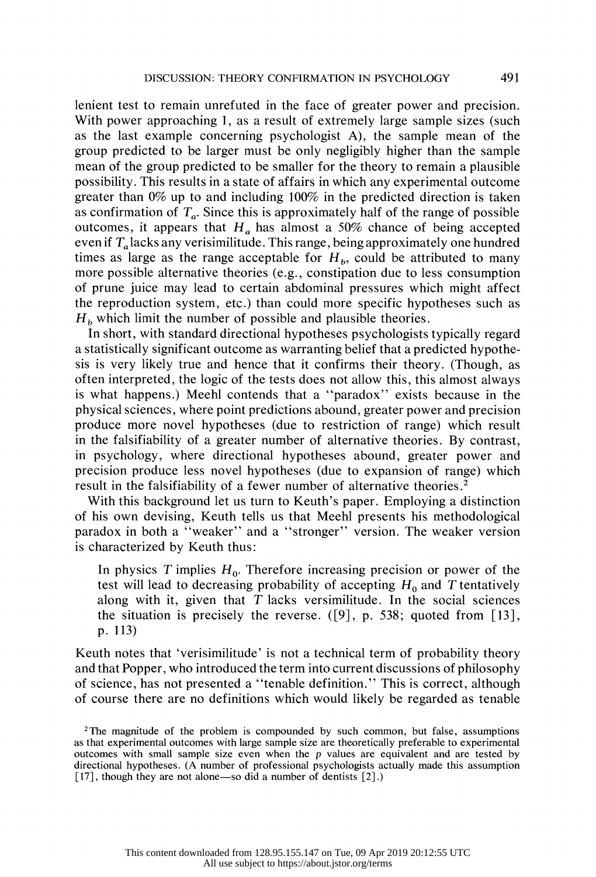lenient test to remain unrefuted in the face of greater power and precision. With power approaching 1, as a result of extremely large sample sizes (such as the last example concerning psychologist A), the sample mean of the group predicted to be larger must be only negligibly higher than the sample mean of the group predicted to be smaller for the theory to remain a plausible possibility. This results in a state of affairs in which any experimental outcome greater than 0% up to and including 100% in the predicted direction is taken as confirmation of  $T_a$ . Since this is approximately half of the range of possible outcomes, it appears that  $H_a$  has almost a 50% chance of being accepted even if  $T<sub>a</sub>$  lacks any verisimilitude. This range, being approximately one hundred times as large as the range acceptable for  $H_b$ , could be attributed to many more possible alternative theories (e.g., constipation due to less consumption of prune juice may lead to certain abdominal pressures which might affect the reproduction system, etc.) than could more specific hypotheses such as  $H<sub>b</sub>$  which limit the number of possible and plausible theories.

 In short, with standard directional hypotheses psychologists typically regard a statistically significant outcome as warranting belief that a predicted hypothe sis is very likely true and hence that it confirms their theory. (Though, as often interpreted, the logic of the tests does not allow this, this almost always is what happens.) Meehl contends that a "paradox" exists because in the physical sciences, where point predictions abound, greater power and precision produce more novel hypotheses (due to restriction of range) which result in the falsifiability of a greater number of alternative theories. By contrast, in psychology, where directional hypotheses abound, greater power and precision produce less novel hypotheses (due to expansion of range) which result in the falsifiability of a fewer number of alternative theories.<sup>2</sup>

 With this background let us turn to Keuth's paper. Employing a distinction of his own devising, Keuth tells us that Meehl presents his methodological paradox in both a "weaker" and a "stronger" version. The weaker version is characterized by Keuth thus:

In physics T implies  $H_0$ . Therefore increasing precision or power of the test will lead to decreasing probability of accepting  $H_0$  and T tentatively along with it, given that  $T$  lacks versimilitude. In the social sciences the situation is precisely the reverse.  $([9]$ , p. 538; quoted from [13], p. 113)

 Keuth notes that 'verisimilitude' is not a technical term of probability theory and that Popper, who introduced the term into current discussions of philosophy of science, has not presented a "tenable definition." This is correct, although of course there are no definitions which would likely be regarded as tenable

 <sup>2</sup>The magnitude of the problem is compounded by such common, but false, assumptions as that experimental outcomes with large sample size are theoretically preferable to experimental outcomes with small sample size even when the  $p$  values are equivalent and are tested by directional hypotheses. (A number of professional psychologists actually made this assumption [17], though they are not alone—so did a number of dentists [2].)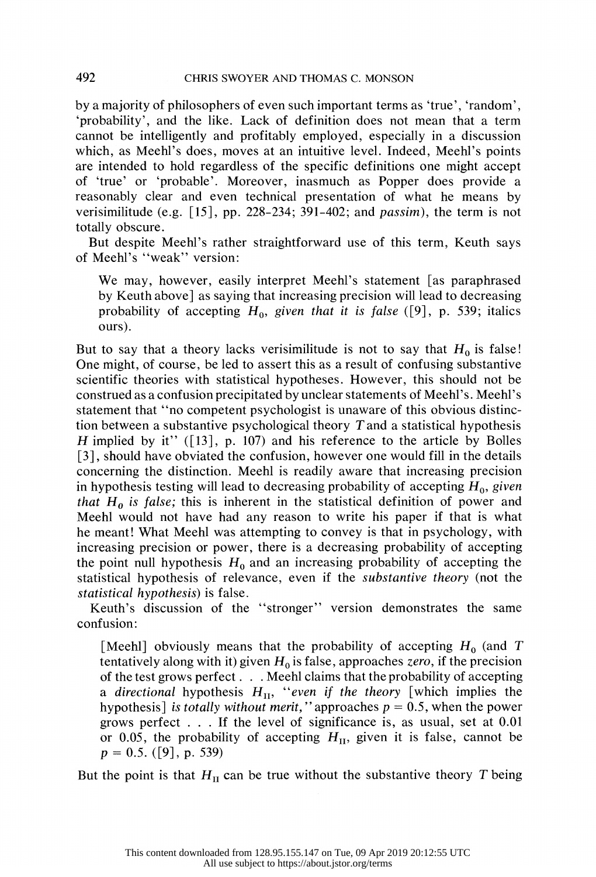by a majority of philosophers of even such important terms as 'true', 'random', 'probability', and the like. Lack of definition does not mean that a term cannot be intelligently and profitably employed, especially in a discussion which, as Meehl's does, moves at an intuitive level. Indeed, Meehl's points are intended to hold regardless of the specific definitions one might accept of 'true' or 'probable'. Moreover, inasmuch as Popper does provide a reasonably clear and even technical presentation of what he means by verisimilitude (e.g. [15], pp. 228-234; 391-402; and passim), the term is not totally obscure.

 But despite Meehl's rather straightforward use of this term, Keuth says of Meehl's "weak" version:

 We may, however, easily interpret Meehl's statement [as paraphrased by Keuth above] as saying that increasing precision will lead to decreasing probability of accepting  $H_0$ , given that it is false ([9], p. 539; italics ours).

But to say that a theory lacks verisimilitude is not to say that  $H_0$  is false! One might, of course, be led to assert this as a result of confusing substantive scientific theories with statistical hypotheses. However, this should not be construed as a confusion precipitated by unclear statements of Meehl's. Meehl's statement that "no competent psychologist is unaware of this obvious distinc tion between a substantive psychological theory  $T$  and a statistical hypothesis H implied by it"  $(13)$ , p. 107) and his reference to the article by Bolles [3], should have obviated the confusion, however one would fill in the details concerning the distinction. Meehl is readily aware that increasing precision in hypothesis testing will lead to decreasing probability of accepting  $H_0$ , given that  $H_0$  is false; this is inherent in the statistical definition of power and Meehl would not have had any reason to write his paper if that is what he meant! What Meehl was attempting to convey is that in psychology, with increasing precision or power, there is a decreasing probability of accepting the point null hypothesis  $H_0$  and an increasing probability of accepting the statistical hypothesis of relevance, even if the substantive theory (not the statistical hypothesis) is false.

 Keuth's discussion of the "stronger" version demonstrates the same confusion:

[Meehl] obviously means that the probability of accepting  $H_0$  (and T tentatively along with it) given  $H_0$  is false, approaches zero, if the precision of the test grows perfect. . . Meehl claims that the probability of accepting a directional hypothesis  $H_{II}$ , "even if the theory [which implies the hypothesis] is totally without merit," approaches  $p = 0.5$ , when the power grows perfect . . . If the level of significance is, as usual, set at 0.01 or 0.05, the probability of accepting  $H_{II}$ , given it is false, cannot be  $p = 0.5$ . ([9], p. 539)

But the point is that  $H<sub>II</sub>$  can be true without the substantive theory T being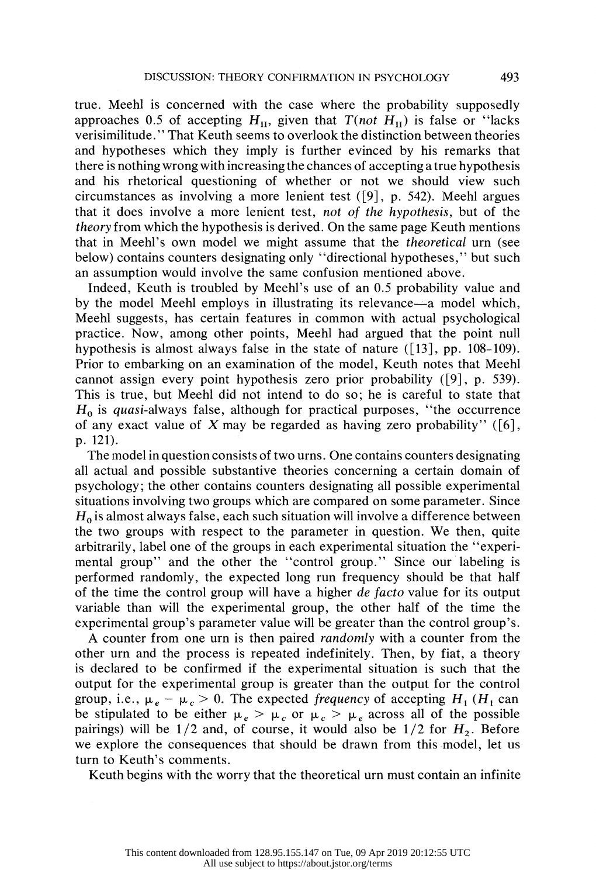true. Meehl is concerned with the case where the probability supposedly approaches 0.5 of accepting  $H_{II}$ , given that  $T(not H_{II})$  is false or "lacks" verisimilitude." That Keuth seems to overlook the distinction between theories and hypotheses which they imply is further evinced by his remarks that there is nothing wrong with increasing the chances of accepting a true hypothesis and his rhetorical questioning of whether or not we should view such circumstances as involving a more lenient test  $(9)$ , p. 542). Meehl argues that it does involve a more lenient test, not of the hypothesis, but of the theory from which the hypothesis is derived. On the same page Keuth mentions that in Meehl's own model we might assume that the theoretical urn (see below) contains counters designating only "directional hypotheses," but such an assumption would involve the same confusion mentioned above.

 Indeed, Keuth is troubled by Meehl's use of an 0.5 probability value and by the model Meehl employs in illustrating its relevance-a model which, Meehl suggests, has certain features in common with actual psychological practice. Now, among other points, Meehl had argued that the point null hypothesis is almost always false in the state of nature  $(13]$ , pp. 108-109). Prior to embarking on an examination of the model, Keuth notes that Meehl cannot assign every point hypothesis zero prior probability ([9], p. 539). This is true, but Meehl did not intend to do so; he is careful to state that  $H_0$  is quasi-always false, although for practical purposes, "the occurrence of any exact value of X may be regarded as having zero probability" ( $\lceil 6 \rceil$ , p. 121).

 The model in question consists of two urns. One contains counters designating all actual and possible substantive theories concerning a certain domain of psychology; the other contains counters designating all possible experimental situations involving two groups which are compared on some parameter. Since  $H_0$  is almost always false, each such situation will involve a difference between the two groups with respect to the parameter in question. We then, quite arbitrarily, label one of the groups in each experimental situation the "experi mental group" and the other the "control group." Since our labeling is performed randomly, the expected long run frequency should be that half of the time the control group will have a higher de facto value for its output variable than will the experimental group, the other half of the time the experimental group's parameter value will be greater than the control group's.

 A counter from one urn is then paired randomly with a counter from the other urn and the process is repeated indefinitely. Then, by fiat, a theory is declared to be confirmed if the experimental situation is such that the output for the experimental group is greater than the output for the control group, i.e.,  $\mu_e - \mu_c > 0$ . The expected frequency of accepting  $H_1$  ( $H_1$  can be stipulated to be either  $\mu_e > \mu_c$  or  $\mu_c > \mu_e$  across all of the possible pairings) will be  $1/2$  and, of course, it would also be  $1/2$  for  $H_2$ . Before we explore the consequences that should be drawn from this model, let us turn to Keuth's comments.

Keuth begins with the worry that the theoretical urn must contain an infinite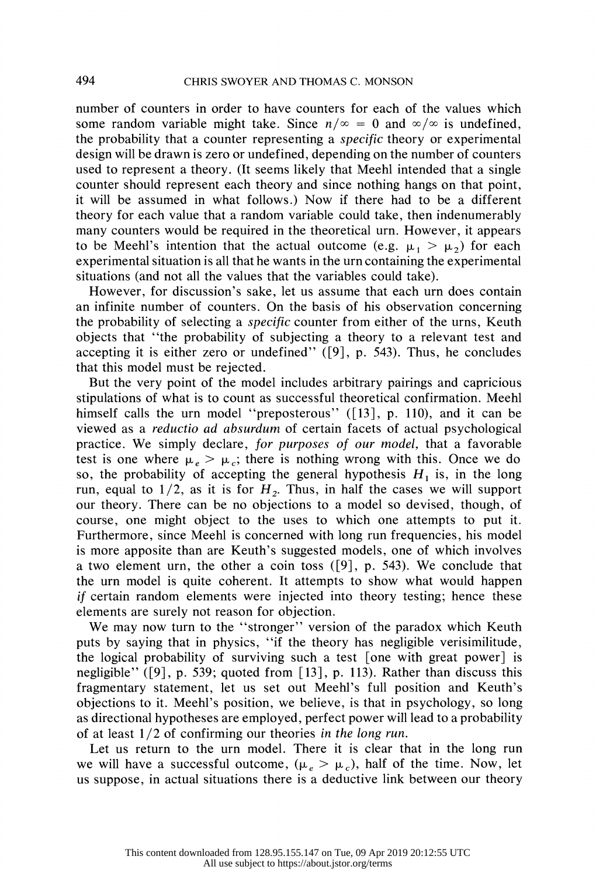number of counters in order to have counters for each of the values which some random variable might take. Since  $n/\infty = 0$  and  $\infty/\infty$  is undefined, the probability that a counter representing a specific theory or experimental design will be drawn is zero or undefined, depending on the number of counters used to represent a theory. (It seems likely that Meehl intended that a single counter should represent each theory and since nothing hangs on that point, it will be assumed in what follows.) Now if there had to be a different theory for each value that a random variable could take, then indenumerably many counters would be required in the theoretical urn. However, it appears to be Meehl's intention that the actual outcome (e.g.  $\mu_1 > \mu_2$ ) for each experimental situation is all that he wants in the urn containing the experimental situations (and not all the values that the variables could take).

 However, for discussion's sake, let us assume that each urn does contain an infinite number of counters. On the basis of his observation concerning the probability of selecting a specific counter from either of the urns, Keuth objects that "the probability of subjecting a theory to a relevant test and accepting it is either zero or undefined"  $([9]$ , p. 543). Thus, he concludes that this model must be rejected.

 But the very point of the model includes arbitrary pairings and capricious stipulations of what is to count as successful theoretical confirmation. Meehl himself calls the urn model "preposterous" ([13], p. 110), and it can be viewed as a reductio ad absurdum of certain facets of actual psychological practice. We simply declare, for purposes of our model, that a favorable test is one where  $\mu_e > \mu_c$ ; there is nothing wrong with this. Once we do so, the probability of accepting the general hypothesis  $H_1$  is, in the long run, equal to  $1/2$ , as it is for  $H_2$ . Thus, in half the cases we will support our theory. There can be no objections to a model so devised, though, of course, one might object to the uses to which one attempts to put it. Furthermore, since Meehl is concerned with long run frequencies, his model is more apposite than are Keuth's suggested models, one of which involves a two element urn, the other a coin toss ([9], p. 543). We conclude that the urn model is quite coherent. It attempts to show what would happen if certain random elements were injected into theory testing; hence these elements are surely not reason for objection.

We may now turn to the "stronger" version of the paradox which Keuth puts by saying that in physics, "if the theory has negligible verisimilitude, the logical probability of surviving such a test [one with great power] is negligible" ([9], p. 539; quoted from [13], p. 113). Rather than discuss this fragmentary statement, let us set out Meehl's full position and Keuth's objections to it. Meehl's position, we believe, is that in psychology, so long as directional hypotheses are employed, perfect power will lead to a probability of at least 1/2 of confirming our theories in the long run.

 Let us return to the urn model. There it is clear that in the long run we will have a successful outcome,  $(\mu_e > \mu_c)$ , half of the time. Now, let us suppose, in actual situations there is a deductive link between our theory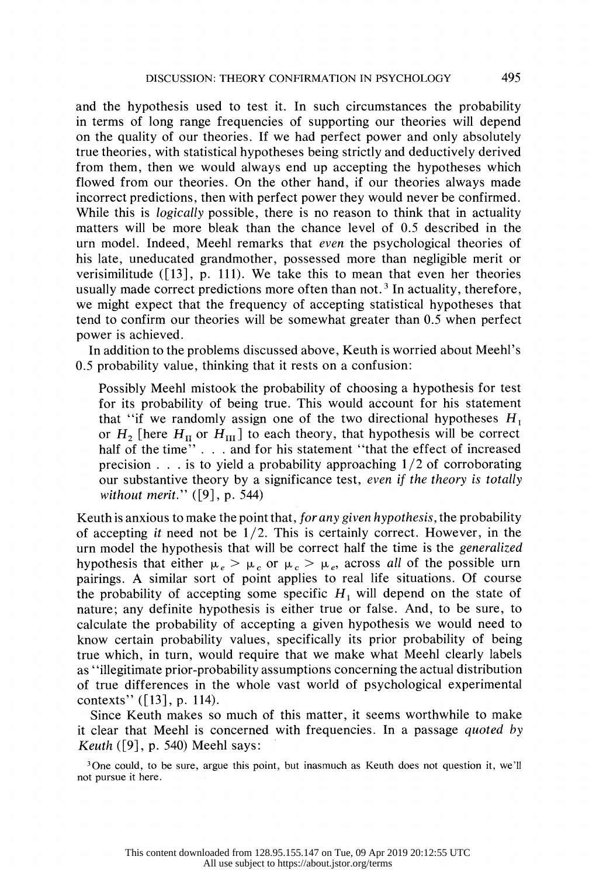and the hypothesis used to test it. In such circumstances the probability in terms of long range frequencies of supporting our theories will depend on the quality of our theories. If we had perfect power and only absolutely true theories, with statistical hypotheses being strictly and deductively derived from them, then we would always end up accepting the hypotheses which flowed from our theories. On the other hand, if our theories always made incorrect predictions, then with perfect power they would never be confirmed. While this is *logically* possible, there is no reason to think that in actuality matters will be more bleak than the chance level of 0.5 described in the urn model. Indeed, Meehl remarks that even the psychological theories of his late, uneducated grandmother, possessed more than negligible merit or verisimilitude  $(13]$ , p. 111). We take this to mean that even her theories usually made correct predictions more often than not.<sup>3</sup> In actuality, therefore, we might expect that the frequency of accepting statistical hypotheses that tend to confirm our theories will be somewhat greater than 0.5 when perfect power is achieved.

 In addition to the problems discussed above, Keuth is worried about Meehl's 0.5 probability value, thinking that it rests on a confusion:

 Possibly Meehl mistook the probability of choosing a hypothesis for test for its probability of being true. This would account for his statement that "if we randomly assign one of the two directional hypotheses  $H_1$ or  $H_2$  [here  $H_{II}$  or  $H_{III}$ ] to each theory, that hypothesis will be correct half of the time" . . . and for his statement "that the effect of increased precision . . . is to yield a probability approaching 1/2 of corroborating our substantive theory by a significance test, even if the theory is totally without merit."  $([9], p. 544)$ 

Keuth is anxious to make the point that, for any given hypothesis, the probability of accepting it need not be  $1/2$ . This is certainly correct. However, in the urn model the hypothesis that will be correct half the time is the generalized hypothesis that either  $\mu_e > \mu_c$  or  $\mu_c > \mu_e$ , across all of the possible urn pairings. A similar sort of point applies to real life situations. Of course the probability of accepting some specific  $H_1$  will depend on the state of nature; any definite hypothesis is either true or false. And, to be sure, to calculate the probability of accepting a given hypothesis we would need to know certain probability values, specifically its prior probability of being true which, in turn, would require that we make what Meehl clearly labels as "illegitimate prior-probability assumptions concerning the actual distribution of true differences in the whole vast world of psychological experimental contexts" ([13], p. 114).

 Since Keuth makes so much of this matter, it seems worthwhile to make it clear that Meehl is concerned with frequencies. In a passage quoted by Keuth  $([9], p. 540)$  Meehl says:

<sup>&</sup>lt;sup>3</sup>One could, to be sure, argue this point, but inasmuch as Keuth does not question it, we'll not pursue it here.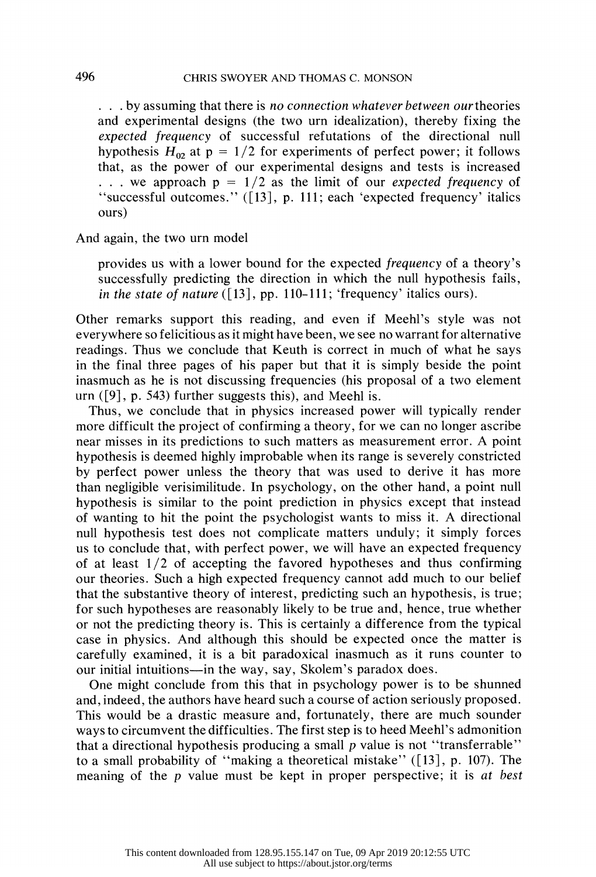... by assuming that there is no connection whatever between our theories and experimental designs (the two urn idealization), thereby fixing the expected frequency of successful refutations of the directional null hypothesis  $H_{02}$  at  $p = 1/2$  for experiments of perfect power; it follows that, as the power of our experimental designs and tests is increased ... we approach  $p = 1/2$  as the limit of our expected frequency of "successful outcomes." ([13], p. 111; each 'expected frequency' italics ours)

And again, the two urn model

 provides us with a lower bound for the expected frequency of a theory's successfully predicting the direction in which the null hypothesis fails, in the state of nature  $(13]$ , pp. 110-111; 'frequency' italics ours).

 Other remarks support this reading, and even if Meehl's style was not everywhere so felicitious as it might have been, we see no warrant for alternative readings. Thus we conclude that Keuth is correct in much of what he says in the final three pages of his paper but that it is simply beside the point inasmuch as he is not discussing frequencies (his proposal of a two element urn  $([9]$ , p. 543) further suggests this), and Meehl is.

 Thus, we conclude that in physics increased power will typically render more difficult the project of confirming a theory, for we can no longer ascribe near misses in its predictions to such matters as measurement error. A point hypothesis is deemed highly improbable when its range is severely constricted by perfect power unless the theory that was used to derive it has more than negligible verisimilitude. In psychology, on the other hand, a point null hypothesis is similar to the point prediction in physics except that instead of wanting to hit the point the psychologist wants to miss it. A directional null hypothesis test does not complicate matters unduly; it simply forces us to conclude that, with perfect power, we will have an expected frequency of at least 1/2 of accepting the favored hypotheses and thus confirming our theories. Such a high expected frequency cannot add much to our belief that the substantive theory of interest, predicting such an hypothesis, is true; for such hypotheses are reasonably likely to be true and, hence, true whether or not the predicting theory is. This is certainly a difference from the typical case in physics. And although this should be expected once the matter is carefully examined, it is a bit paradoxical inasmuch as it runs counter to our initial intuitions—in the way, say, Skolem's paradox does.

 One might conclude from this that in psychology power is to be shunned and, indeed, the authors have heard such a course of action seriously proposed. This would be a drastic measure and, fortunately, there are much sounder ways to circumvent the difficulties. The first step is to heed Meehl's admonition that a directional hypothesis producing a small  $p$  value is not "transferrable" to a small probability of "making a theoretical mistake" ([13], p. 107). The meaning of the p value must be kept in proper perspective; it is at best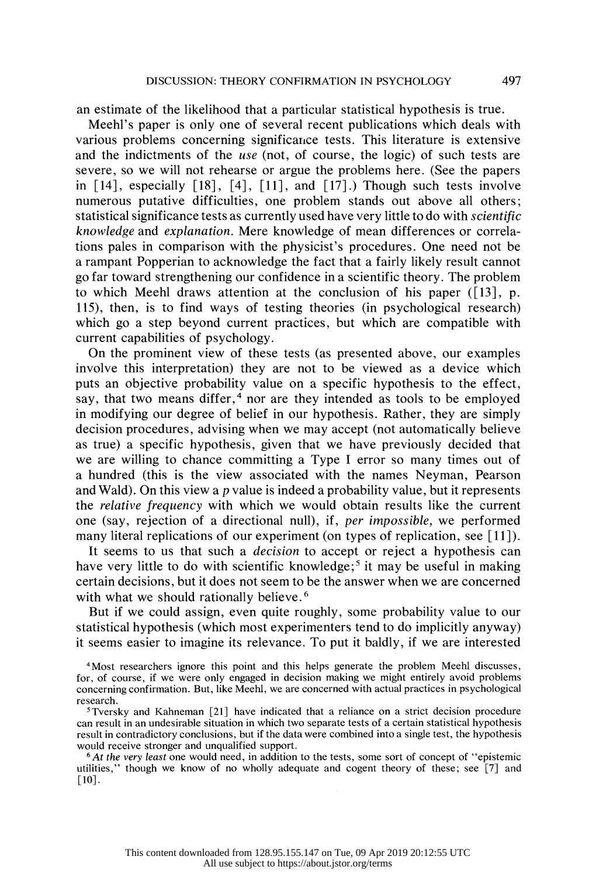497

an estimate of the likelihood that a particular statistical hypothesis is true.

 Meehl's paper is only one of several recent publications which deals with various problems concerning significance tests. This literature is extensive and the indictments of the use (not, of course, the logic) of such tests are severe, so we will not rehearse or argue the problems here. (See the papers in  $[14]$ , especially  $[18]$ ,  $[4]$ ,  $[11]$ , and  $[17]$ .) Though such tests involve numerous putative difficulties, one problem stands out above all others; statistical significance tests as currently used have very little to do with scientific knowledge and explanation. Mere knowledge of mean differences or correla tions pales in comparison with the physicist's procedures. One need not be a rampant Popperian to acknowledge the fact that a fairly likely result cannot go far toward strengthening our confidence in a scientific theory. The problem to which Meehl draws attention at the conclusion of his paper  $(13)$ , p. 115), then, is to find ways of testing theories (in psychological research) which go a step beyond current practices, but which are compatible with current capabilities of psychology.

 On the prominent view of these tests (as presented above, our examples involve this interpretation) they are not to be viewed as a device which puts an objective probability value on a specific hypothesis to the effect, say, that two means differ,<sup>4</sup> nor are they intended as tools to be employed in modifying our degree of belief in our hypothesis. Rather, they are simply decision procedures, advising when we may accept (not automatically believe as true) a specific hypothesis, given that we have previously decided that we are willing to chance committing a Type I error so many times out of a hundred (this is the view associated with the names Neyman, Pearson and Wald). On this view a  $p$  value is indeed a probability value, but it represents the relative frequency with which we would obtain results like the current one (say, rejection of a directional null), if, per impossible, we performed many literal replications of our experiment (on types of replication, see [11]).

 It seems to us that such a decision to accept or reject a hypothesis can have very little to do with scientific knowledge;<sup>5</sup> it may be useful in making certain decisions, but it does not seem to be the answer when we are concerned with what we should rationally believe.<sup>6</sup>

 But if we could assign, even quite roughly, some probability value to our statistical hypothesis (which most experimenters tend to do implicitly anyway) it seems easier to imagine its relevance. To put it baldly, if we are interested

 <sup>4</sup>Most researchers ignore this point and this helps generate the problem Meehl discusses, for, of course, if we were only engaged in decision making we might entirely avoid problems concerning confirmation. But, like Meehl, we are concerned with actual practices in psychological research.

 <sup>5</sup>Tversky and Kahneman [21] have indicated that a reliance on a strict decision procedure can result in an undesirable situation in which two separate tests of a certain statistical hypothesis result in contradictory conclusions, but if the data were combined into a single test, the hypothesis would receive stronger and unqualified support.

 <sup>6</sup>At the very least one would need, in addition to the tests, some sort of concept of "epistemic utilities," though we know of no wholly adequate and cogent theory of these; see [7] and [10].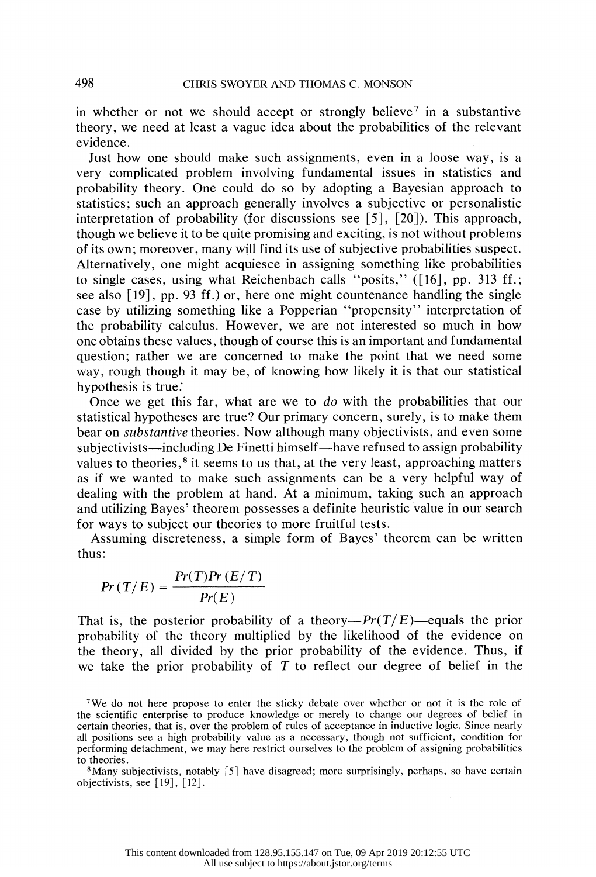in whether or not we should accept or strongly believe<sup>7</sup> in a substantive theory, we need at least a vague idea about the probabilities of the relevant evidence.

 Just how one should make such assignments, even in a loose way, is a very complicated problem involving fundamental issues in statistics and probability theory. One could do so by adopting a Bayesian approach to statistics; such an approach generally involves a subjective or personalistic interpretation of probability (for discussions see [5], [20]). This approach, though we believe it to be quite promising and exciting, is not without problems of its own; moreover, many will find its use of subjective probabilities suspect. Alternatively, one might acquiesce in assigning something like probabilities to single cases, using what Reichenbach calls "posits," ([16], pp. 313 ff.; see also [19], pp. 93 ff.) or, here one might countenance handling the single case by utilizing something like a Popperian "propensity" interpretation of the probability calculus. However, we are not interested so much in how one obtains these values, though of course this is an important and fundamental question; rather we are concerned to make the point that we need some way, rough though it may be, of knowing how likely it is that our statistical hypothesis is true.

 Once we get this far, what are we to do with the probabilities that our statistical hypotheses are true? Our primary concern, surely, is to make them bear on substantive theories. Now although many objectivists, and even some subjectivists—including De Finetti himself—have refused to assign probability values to theories, $8$  it seems to us that, at the very least, approaching matters as if we wanted to make such assignments can be a very helpful way of dealing with the problem at hand. At a minimum, taking such an approach and utilizing Bayes' theorem possesses a definite heuristic value in our search for ways to subject our theories to more fruitful tests.

 Assuming discreteness, a simple form of Bayes' theorem can be written thus:

$$
Pr(T/E) = \frac{Pr(T)Pr(E/T)}{Pr(E)}
$$

That is, the posterior probability of a theory- $Pr(T/E)$ -equals the prior probability of the theory multiplied by the likelihood of the evidence on the theory, all divided by the prior probability of the evidence. Thus, if we take the prior probability of  $T$  to reflect our degree of belief in the

 <sup>7</sup>We do not here propose to enter the sticky debate over whether or not it is the role of the scientific enterprise to produce knowledge or merely to change our degrees of belief in certain theories, that is, over the problem of rules of acceptance in inductive logic. Since nearly all positions see a high probability value as a necessary, though not sufficient, condition for performing detachment, we may here restrict ourselves to the problem of assigning probabilities to theories.

<sup>&</sup>lt;sup>8</sup>Many subjectivists, notably [5] have disagreed; more surprisingly, perhaps, so have certain objectivists, see [19], [12].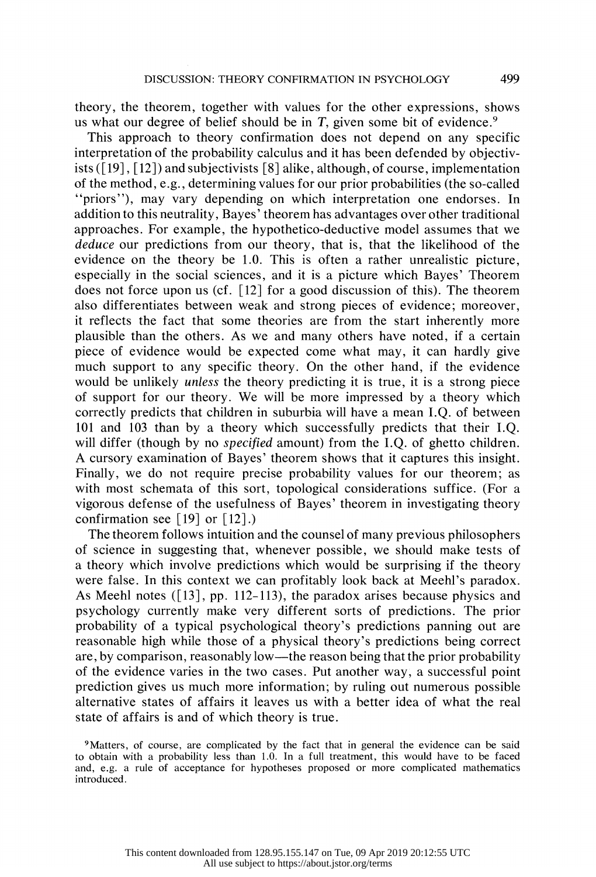theory, the theorem, together with values for the other expressions, shows us what our degree of belief should be in  $T$ , given some bit of evidence.<sup>9</sup>

 This approach to theory confirmation does not depend on any specific interpretation of the probability calculus and it has been defended by objectiv ists ([ 19], [12]) and subjectivists [8] alike, although, of course, implementation of the method, e.g., determining values for our prior probabilities (the so-called "priors"), may vary depending on which interpretation one endorses. In addition to this neutrality, Bayes' theorem has advantages over other traditional approaches. For example, the hypothetico-deductive model assumes that we deduce our predictions from our theory, that is, that the likelihood of the evidence on the theory be 1.0. This is often a rather unrealistic picture, especially in the social sciences, and it is a picture which Bayes' Theorem does not force upon us (cf. [12] for a good discussion of this). The theorem also differentiates between weak and strong pieces of evidence; moreover, it reflects the fact that some theories are from the start inherently more plausible than the others. As we and many others have noted, if a certain piece of evidence would be expected come what may, it can hardly give much support to any specific theory. On the other hand, if the evidence would be unlikely unless the theory predicting it is true, it is a strong piece of support for our theory. We will be more impressed by a theory which correctly predicts that children in suburbia will have a mean I.Q. of between 101 and 103 than by a theory which successfully predicts that their I.Q. will differ (though by no specified amount) from the I.Q. of ghetto children. A cursory examination of Bayes' theorem shows that it captures this insight. Finally, we do not require precise probability values for our theorem; as with most schemata of this sort, topological considerations suffice. (For a vigorous defense of the usefulness of Bayes' theorem in investigating theory confirmation see [19] or [12].)

 The theorem follows intuition and the counsel of many previous philosophers of science in suggesting that, whenever possible, we should make tests of a theory which involve predictions which would be surprising if the theory were false. In this context we can profitably look back at Meehl's paradox. As Meehl notes ([13], pp. 112-113), the paradox arises because physics and psychology currently make very different sorts of predictions. The prior probability of a typical psychological theory's predictions panning out are reasonable high while those of a physical theory's predictions being correct are, by comparison, reasonably low-the reason being that the prior probability of the evidence varies in the two cases. Put another way, a successful point prediction gives us much more information; by ruling out numerous possible alternative states of affairs it leaves us with a better idea of what the real state of affairs is and of which theory is true.

 <sup>9</sup>Matters, of course, are complicated by the fact that in general the evidence can be said to obtain with a probability less than 1.0. In a full treatment, this would have to be faced and, e.g. a rule of acceptance for hypotheses proposed or more complicated mathematics introduced.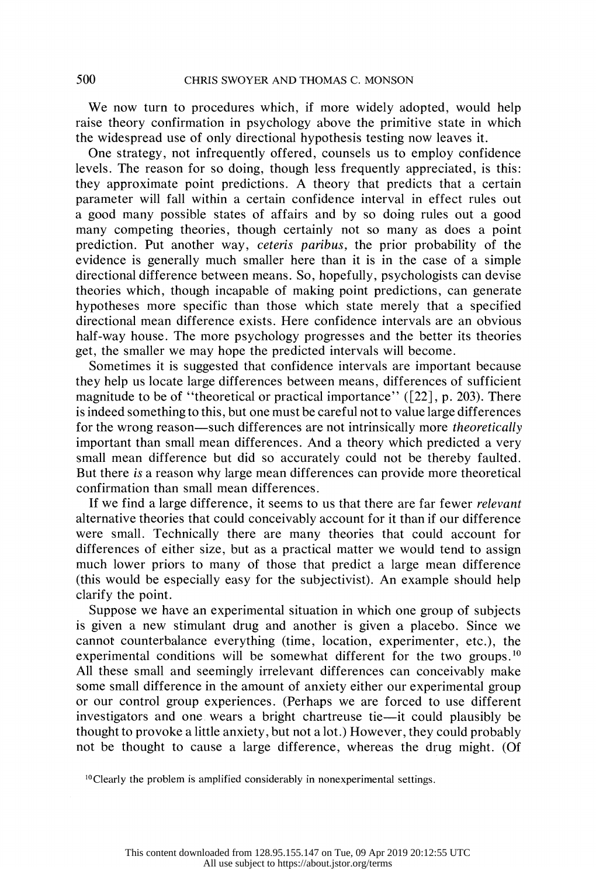We now turn to procedures which, if more widely adopted, would help raise theory confirmation in psychology above the primitive state in which the widespread use of only directional hypothesis testing now leaves it.

 One strategy, not infrequently offered, counsels us to employ confidence levels. The reason for so doing, though less frequently appreciated, is this: they approximate point predictions. A theory that predicts that a certain parameter will fall within a certain confidence interval in effect rules out a good many possible states of affairs and by so doing rules out a good many competing theories, though certainly not so many as does a point prediction. Put another way, ceteris paribus, the prior probability of the evidence is generally much smaller here than it is in the case of a simple directional difference between means. So, hopefully, psychologists can devise theories which, though incapable of making point predictions, can generate hypotheses more specific than those which state merely that a specified directional mean difference exists. Here confidence intervals are an obvious half-way house. The more psychology progresses and the better its theories get, the smaller we may hope the predicted intervals will become.

 Sometimes it is suggested that confidence intervals are important because they help us locate large differences between means, differences of sufficient magnitude to be of "theoretical or practical importance" ([22], p. 203). There is indeed something to this, but one must be careful not to value large differences for the wrong reason—such differences are not intrinsically more *theoretically*  important than small mean differences. And a theory which predicted a very small mean difference but did so accurately could not be thereby faulted. But there is a reason why large mean differences can provide more theoretical confirmation than small mean differences.

If we find a large difference, it seems to us that there are far fewer *relevant*  alternative theories that could conceivably account for it than if our difference were small. Technically there are many theories that could account for differences of either size, but as a practical matter we would tend to assign much lower priors to many of those that predict a large mean difference (this would be especially easy for the subjectivist). An example should help clarify the point.

 Suppose we have an experimental situation in which one group of subjects is given a new stimulant drug and another is given a placebo. Since we cannot counterbalance everything (time, location, experimenter, etc.), the experimental conditions will be somewhat different for the two groups.<sup>10</sup> All these small and seemingly irrelevant differences can conceivably make some small difference in the amount of anxiety either our experimental group or our control group experiences. (Perhaps we are forced to use different investigators and one wears a bright chartreuse tie—it could plausibly be thought to provoke a little anxiety, but not a lot.) However, they could probably not be thought to cause a large difference, whereas the drug might. (Of

<sup>10</sup>Clearly the problem is amplified considerably in nonexperimental settings.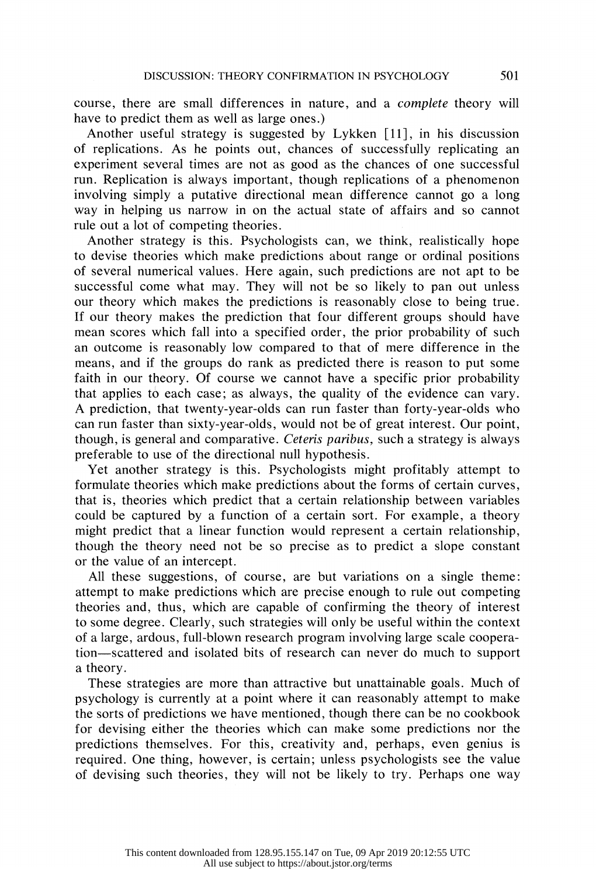course, there are small differences in nature, and a complete theory will have to predict them as well as large ones.)

 Another useful strategy is suggested by Lykken [11], in his discussion of replications. As he points out, chances of successfully replicating an experiment several times are not as good as the chances of one successful run. Replication is always important, though replications of a phenomenon involving simply a putative directional mean difference cannot go a long way in helping us narrow in on the actual state of affairs and so cannot rule out a lot of competing theories.

 Another strategy is this. Psychologists can, we think, realistically hope to devise theories which make predictions about range or ordinal positions of several numerical values. Here again, such predictions are not apt to be successful come what may. They will not be so likely to pan out unless our theory which makes the predictions is reasonably close to being true. If our theory makes the prediction that four different groups should have mean scores which fall into a specified order, the prior probability of such an outcome is reasonably low compared to that of mere difference in the means, and if the groups do rank as predicted there is reason to put some faith in our theory. Of course we cannot have a specific prior probability that applies to each case; as always, the quality of the evidence can vary. A prediction, that twenty-year-olds can run faster than forty-year-olds who can run faster than sixty-year-olds, would not be of great interest. Our point, though, is general and comparative. Ceteris paribus, such a strategy is always preferable to use of the directional null hypothesis.

 Yet another strategy is this. Psychologists might profitably attempt to formulate theories which make predictions about the forms of certain curves, that is, theories which predict that a certain relationship between variables could be captured by a function of a certain sort. For example, a theory might predict that a linear function would represent a certain relationship, though the theory need not be so precise as to predict a slope constant or the value of an intercept.

 All these suggestions, of course, are but variations on a single theme: attempt to make predictions which are precise enough to rule out competing theories and, thus, which are capable of confirming the theory of interest to some degree. Clearly, such strategies will only be useful within the context of a large, ardous, full-blown research program involving large scale coopera tion-scattered and isolated bits of research can never do much to support a theory.

 These strategies are more than attractive but unattainable goals. Much of psychology is currently at a point where it can reasonably attempt to make the sorts of predictions we have mentioned, though there can be no cookbook for devising either the theories which can make some predictions nor the predictions themselves. For this, creativity and, perhaps, even genius is required. One thing, however, is certain; unless psychologists see the value of devising such theories, they will not be likely to try. Perhaps one way